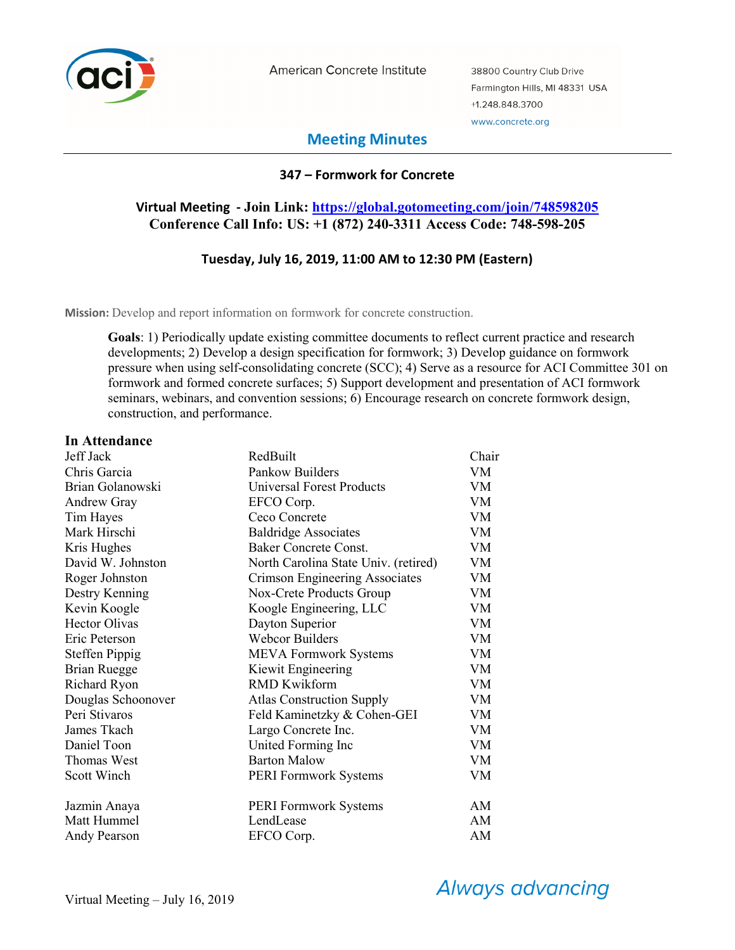

American Concrete Institute

38800 Country Club Drive Farmington Hills, MI 48331 USA +1.248.848.3700 www.concrete.org

# **Meeting Minutes**

### **347 – Formwork for Concrete**

# **Virtual Meeting - Join Link: https://global.gotomeeting.com/join/748598205 Conference Call Info: US: +1 (872) 240-3311 Access Code: 748-598-205**

### **Tuesday, July 16, 2019, 11:00 AM to 12:30 PM (Eastern)**

**Mission:** Develop and report information on formwork for concrete construction.

**Goals**: 1) Periodically update existing committee documents to reflect current practice and research developments; 2) Develop a design specification for formwork; 3) Develop guidance on formwork pressure when using self-consolidating concrete (SCC); 4) Serve as a resource for ACI Committee 301 on formwork and formed concrete surfaces; 5) Support development and presentation of ACI formwork seminars, webinars, and convention sessions;  $\overline{6}$ ) Encourage research on concrete formwork design, construction, and performance.

#### **In Attendance**

| Jeff Jack             | RedBuilt                             | Chair |
|-----------------------|--------------------------------------|-------|
| Chris Garcia          | Pankow Builders                      | VM    |
| Brian Golanowski      | <b>Universal Forest Products</b>     | VM.   |
| <b>Andrew Gray</b>    | EFCO Corp.                           | VM    |
| Tim Hayes             | Ceco Concrete                        | VM    |
| Mark Hirschi          | <b>Baldridge Associates</b>          | VM    |
| Kris Hughes           | <b>Baker Concrete Const.</b>         | VM    |
| David W. Johnston     | North Carolina State Univ. (retired) | VM    |
| Roger Johnston        | Crimson Engineering Associates       | VM    |
| Destry Kenning        | Nox-Crete Products Group             | VM    |
| Kevin Koogle          | Koogle Engineering, LLC              | VM    |
| <b>Hector Olivas</b>  | Dayton Superior                      | VM    |
| Eric Peterson         | <b>Webcor Builders</b>               | VM    |
| <b>Steffen Pippig</b> | <b>MEVA Formwork Systems</b>         | VM    |
| <b>Brian Ruegge</b>   | Kiewit Engineering                   | VM    |
| <b>Richard Ryon</b>   | <b>RMD Kwikform</b>                  | VM    |
| Douglas Schoonover    | <b>Atlas Construction Supply</b>     | VM    |
| Peri Stivaros         | Feld Kaminetzky & Cohen-GEI          | VM    |
| James Tkach           | Largo Concrete Inc.                  | VM    |
| Daniel Toon           | United Forming Inc                   | VM    |
| Thomas West           | <b>Barton Malow</b>                  | VM    |
| Scott Winch           | <b>PERI Formwork Systems</b>         | VM    |
| Jazmin Anaya          | <b>PERI Formwork Systems</b>         | AM    |
| Matt Hummel           | LendLease                            | AM    |
| Andy Pearson          | EFCO Corp.                           | AM    |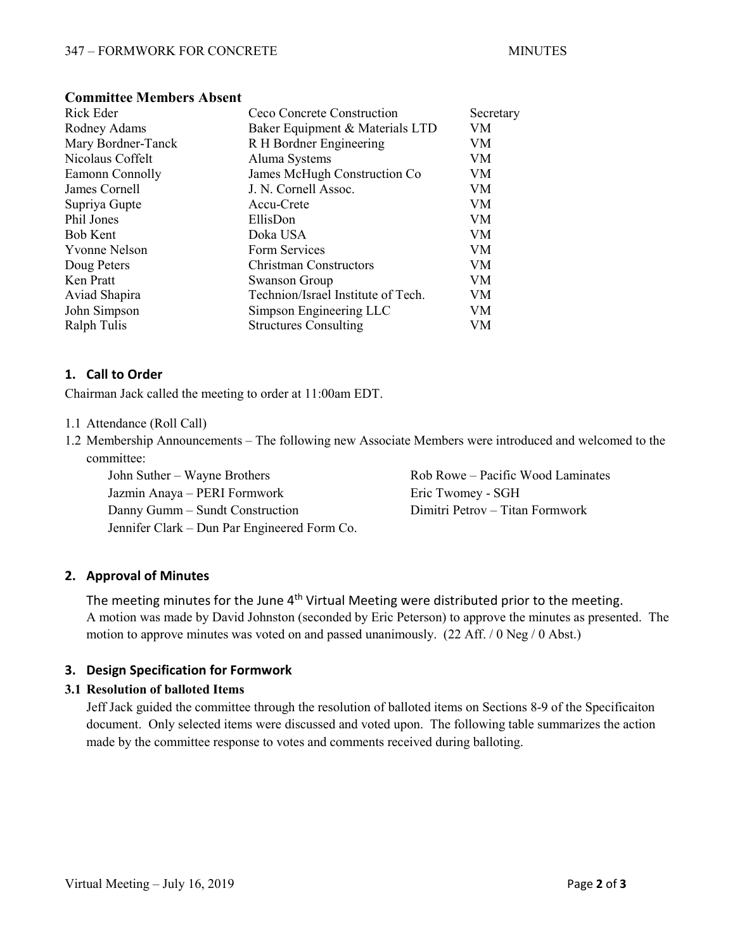| Rick Eder          | Ceco Concrete Construction         | Secretary |
|--------------------|------------------------------------|-----------|
| Rodney Adams       | Baker Equipment & Materials LTD    | VM        |
| Mary Bordner-Tanck | R H Bordner Engineering            | VM        |
| Nicolaus Coffelt   | Aluma Systems                      | VM        |
| Eamonn Connolly    | James McHugh Construction Co       | VM        |
| James Cornell      | J. N. Cornell Assoc.               | VM        |
| Supriya Gupte      | Accu-Crete                         | VM        |
| Phil Jones         | EllisDon                           | VM        |
| <b>Bob Kent</b>    | Doka USA                           | VM        |
| Yvonne Nelson      | Form Services                      | VM        |
| Doug Peters        | <b>Christman Constructors</b>      | VM        |
| Ken Pratt          | Swanson Group                      | VM        |
| Aviad Shapira      | Technion/Israel Institute of Tech. | VM        |
| John Simpson       | Simpson Engineering LLC            | VM        |
| Ralph Tulis        | <b>Structures Consulting</b>       | VM        |
|                    |                                    |           |

#### **Committee Members Absent**

#### **1. Call to Order**

Chairman Jack called the meeting to order at 11:00am EDT.

- 1.1 Attendance (Roll Call)
- 1.2 Membership Announcements The following new Associate Members were introduced and welcomed to the committee:

John Suther – Wayne Brothers **Rob Rowe – Pacific Wood Laminates** Rob Rowe – Pacific Wood Laminates Jazmin Anaya – PERI Formwork Eric Twomey - SGH Danny Gumm – Sundt Construction Dimitri Petrov – Titan Formwork Jennifer Clark – Dun Par Engineered Form Co.

### **2. Approval of Minutes**

The meeting minutes for the June  $4<sup>th</sup>$  Virtual Meeting were distributed prior to the meeting. A motion was made by David Johnston (seconded by Eric Peterson) to approve the minutes as presented. The motion to approve minutes was voted on and passed unanimously. (22 Aff. / 0 Neg / 0 Abst.)

### **3. Design Specification for Formwork**

#### **3.1 Resolution of balloted Items**

Jeff Jack guided the committee through the resolution of balloted items on Sections 8-9 of the Specificaiton document. Only selected items were discussed and voted upon. The following table summarizes the action made by the committee response to votes and comments received during balloting.